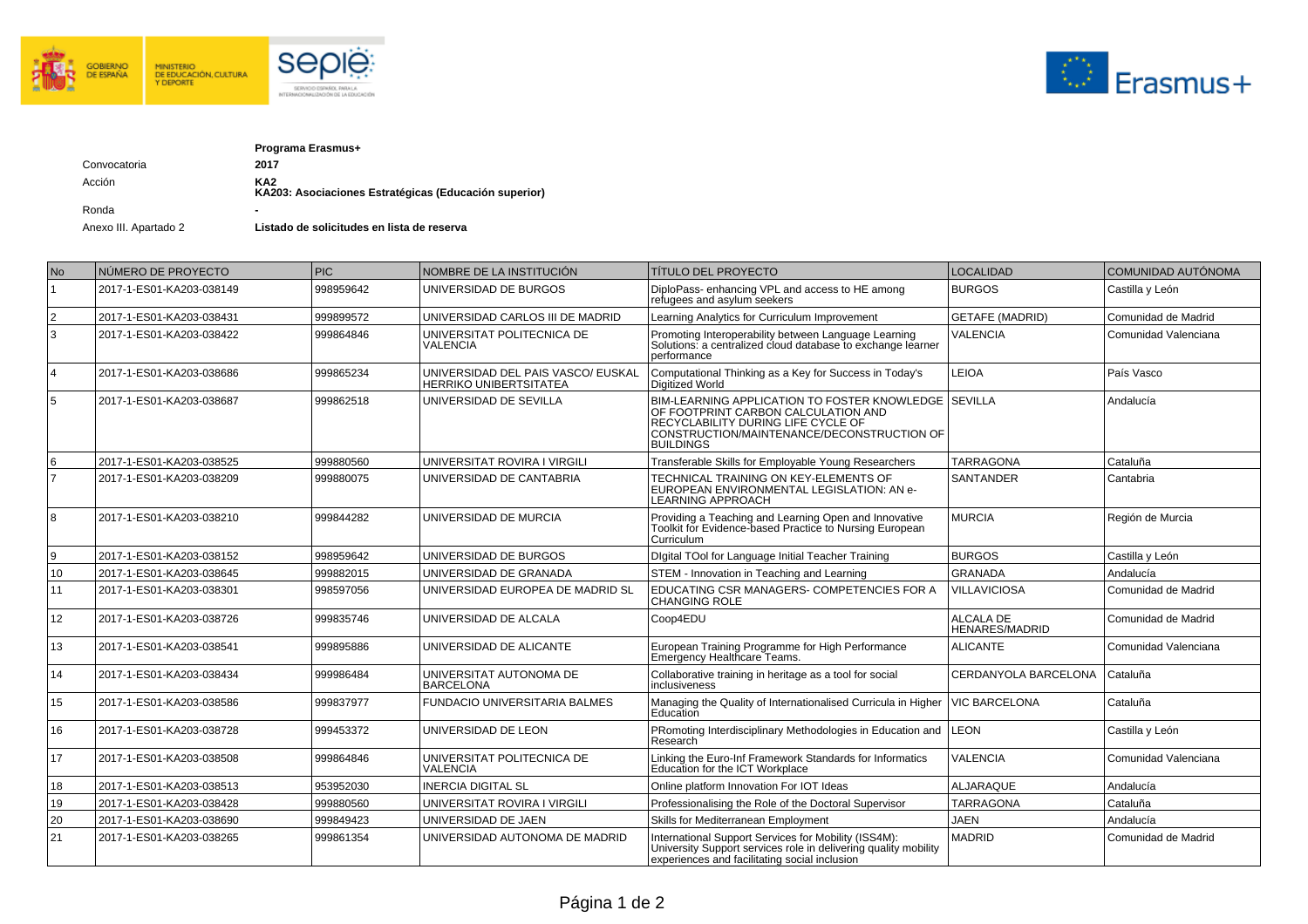



|              | Programa Erasmus+                                            |  |  |
|--------------|--------------------------------------------------------------|--|--|
| Convocatoria | 2017                                                         |  |  |
| Acción       | KA2<br>KA203: Asociaciones Estratégicas (Educación superior) |  |  |
| Ronda        | ٠                                                            |  |  |

Anexo III. Apartado 2 **Listado de solicitudes en lista de reserva** 

| No             | NÚMERO DE PROYECTO       | <b>PIC</b> | NOMBRE DE LA INSTITUCIÓN                                     | <b>TÍTULO DEL PROYECTO</b>                                                                                                                                                                            | <b>LOCALIDAD</b>                   | COMUNIDAD AUTÓNOMA   |
|----------------|--------------------------|------------|--------------------------------------------------------------|-------------------------------------------------------------------------------------------------------------------------------------------------------------------------------------------------------|------------------------------------|----------------------|
|                | 2017-1-ES01-KA203-038149 | 998959642  | UNIVERSIDAD DE BURGOS                                        | DiploPass-enhancing VPL and access to HE among<br>refugees and asylum seekers                                                                                                                         | <b>BURGOS</b>                      | Castilla y León      |
| $\overline{2}$ | 2017-1-ES01-KA203-038431 | 999899572  | UNIVERSIDAD CARLOS III DE MADRID                             | Learning Analytics for Curriculum Improvement                                                                                                                                                         | <b>GETAFE (MADRID)</b>             | Comunidad de Madrid  |
| 3              | 2017-1-ES01-KA203-038422 | 999864846  | UNIVERSITAT POLITECNICA DE<br><b>VALENCIA</b>                | Promoting Interoperability between Language Learning<br>Solutions: a centralized cloud database to exchange learner<br>performance                                                                    | <b>VALENCIA</b>                    | Comunidad Valenciana |
| $\overline{4}$ | 2017-1-ES01-KA203-038686 | 999865234  | UNIVERSIDAD DEL PAIS VASCO/ EUSKAL<br>HERRIKO UNIBERTSITATEA | Computational Thinking as a Key for Success in Today's<br>Digitized World                                                                                                                             | <b>LEIOA</b>                       | País Vasco           |
| 5              | 2017-1-ES01-KA203-038687 | 999862518  | UNIVERSIDAD DE SEVILLA                                       | BIM-LEARNING APPLICATION TO FOSTER KNOWLEDGE   SEVILLA<br>OF FOOTPRINT CARBON CALCULATION AND<br>RECYCLABILITY DURING LIFE CYCLE OF<br>CONSTRUCTION/MAINTENANCE/DECONSTRUCTION OF<br><b>BUILDINGS</b> |                                    | Andalucía            |
| 6              | 2017-1-ES01-KA203-038525 | 999880560  | UNIVERSITAT ROVIRA I VIRGILI                                 | Transferable Skills for Employable Young Researchers                                                                                                                                                  | <b>TARRAGONA</b>                   | Cataluña             |
|                | 2017-1-ES01-KA203-038209 | 999880075  | UNIVERSIDAD DE CANTABRIA                                     | <b>TECHNICAL TRAINING ON KEY-ELEMENTS OF</b><br>EUROPEAN ENVIRONMENTAL LEGISLATION: AN e-<br><b>LEARNING APPROACH</b>                                                                                 | <b>SANTANDER</b>                   | Cantabria            |
| 8              | 2017-1-ES01-KA203-038210 | 999844282  | UNIVERSIDAD DE MURCIA                                        | Providing a Teaching and Learning Open and Innovative<br>Toolkit for Evidence-based Practice to Nursing European<br>Curriculum                                                                        | <b>MURCIA</b>                      | Región de Murcia     |
| 9              | 2017-1-ES01-KA203-038152 | 998959642  | UNIVERSIDAD DE BURGOS                                        | Digital TOol for Language Initial Teacher Training                                                                                                                                                    | <b>BURGOS</b>                      | Castilla y León      |
| 10             | 2017-1-ES01-KA203-038645 | 999882015  | UNIVERSIDAD DE GRANADA                                       | STEM - Innovation in Teaching and Learning                                                                                                                                                            | <b>GRANADA</b>                     | Andalucía            |
| 11             | 2017-1-ES01-KA203-038301 | 998597056  | UNIVERSIDAD EUROPEA DE MADRID SL                             | EDUCATING CSR MANAGERS- COMPETENCIES FOR A<br><b>CHANGING ROLE</b>                                                                                                                                    | <b>VILLAVICIOSA</b>                | Comunidad de Madrid  |
| 12             | 2017-1-ES01-KA203-038726 | 999835746  | UNIVERSIDAD DE ALCALA                                        | Coop4EDU                                                                                                                                                                                              | ALCALA DE<br><b>HENARES/MADRID</b> | Comunidad de Madrid  |
| 13             | 2017-1-ES01-KA203-038541 | 999895886  | UNIVERSIDAD DE ALICANTE                                      | European Training Programme for High Performance<br>Emergency Healthcare Teams.                                                                                                                       | <b>ALICANTE</b>                    | Comunidad Valenciana |
| 14             | 2017-1-ES01-KA203-038434 | 999986484  | UNIVERSITAT AUTONOMA DE<br><b>BARCELONA</b>                  | Collaborative training in heritage as a tool for social<br>inclusiveness                                                                                                                              | CERDANYOLA BARCELONA               | l Cataluña           |
| 15             | 2017-1-ES01-KA203-038586 | 999837977  | <b>FUNDACIO UNIVERSITARIA BALMES</b>                         | Managing the Quality of Internationalised Curricula in Higher<br>Education                                                                                                                            | <b>VIC BARCELONA</b>               | Cataluña             |
| 16             | 2017-1-ES01-KA203-038728 | 999453372  | UNIVERSIDAD DE LEON                                          | PRomoting Interdisciplinary Methodologies in Education and<br>Research                                                                                                                                | <b>LEON</b>                        | Castilla y León      |
| 17             | 2017-1-ES01-KA203-038508 | 999864846  | UNIVERSITAT POLITECNICA DE<br>VALENCIA                       | Linking the Euro-Inf Framework Standards for Informatics<br>Education for the ICT Workplace                                                                                                           | <b>VALENCIA</b>                    | Comunidad Valenciana |
| 18             | 2017-1-ES01-KA203-038513 | 953952030  | <b>INERCIA DIGITAL SL</b>                                    | Online platform Innovation For IOT Ideas                                                                                                                                                              | ALJARAQUE                          | Andalucía            |
| 19             | 2017-1-ES01-KA203-038428 | 999880560  | UNIVERSITAT ROVIRA I VIRGILI                                 | Professionalising the Role of the Doctoral Supervisor                                                                                                                                                 | <b>TARRAGONA</b>                   | Cataluña             |
| 20             | 2017-1-ES01-KA203-038690 | 999849423  | UNIVERSIDAD DE JAEN                                          | Skills for Mediterranean Employment                                                                                                                                                                   | <b>JAEN</b>                        | Andalucía            |
| 21             | 2017-1-ES01-KA203-038265 | 999861354  | UNIVERSIDAD AUTONOMA DE MADRID                               | International Support Services for Mobility (ISS4M):<br>University Support services role in delivering quality mobility<br>experiences and facilitating social inclusion                              | <b>MADRID</b>                      | Comunidad de Madrid  |